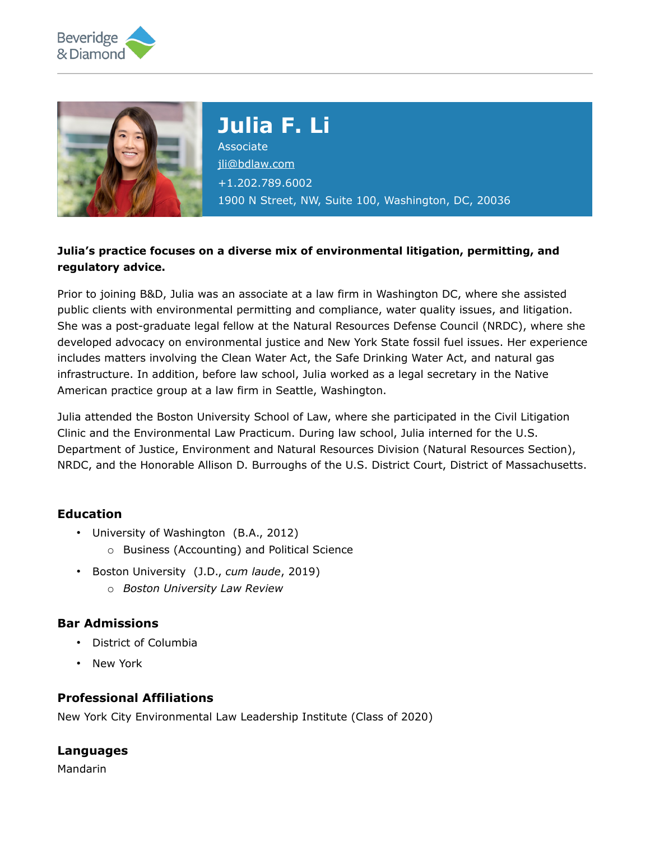



# **Julia F. Li** Associate [jli@bdlaw.com](mailto:jli@bdlaw.com) +1.202.789.6002

1900 N Street, NW, Suite 100, Washington, DC, 20036

## **Julia's practice focuses on a diverse mix of environmental litigation, permitting, and regulatory advice.**

Prior to joining B&D, Julia was an associate at a law firm in Washington DC, where she assisted public clients with environmental permitting and compliance, water quality issues, and litigation. She was a post-graduate legal fellow at the Natural Resources Defense Council (NRDC), where she developed advocacy on environmental justice and New York State fossil fuel issues. Her experience includes matters involving the Clean Water Act, the Safe Drinking Water Act, and natural gas infrastructure. In addition, before law school, Julia worked as a legal secretary in the Native American practice group at a law firm in Seattle, Washington.

Julia attended the Boston University School of Law, where she participated in the Civil Litigation Clinic and the Environmental Law Practicum. During law school, Julia interned for the U.S. Department of Justice, Environment and Natural Resources Division (Natural Resources Section), NRDC, and the Honorable Allison D. Burroughs of the U.S. District Court, District of Massachusetts.

### **Education**

- University of Washington (B.A., 2012)
	- o Business (Accounting) and Political Science
- Boston University (J.D., *cum laude*, 2019)
	- o *Boston University Law Review*

### **Bar Admissions**

- District of Columbia
- New York

### **Professional Affiliations**

New York City Environmental Law Leadership Institute (Class of 2020)

### **Languages**

Mandarin